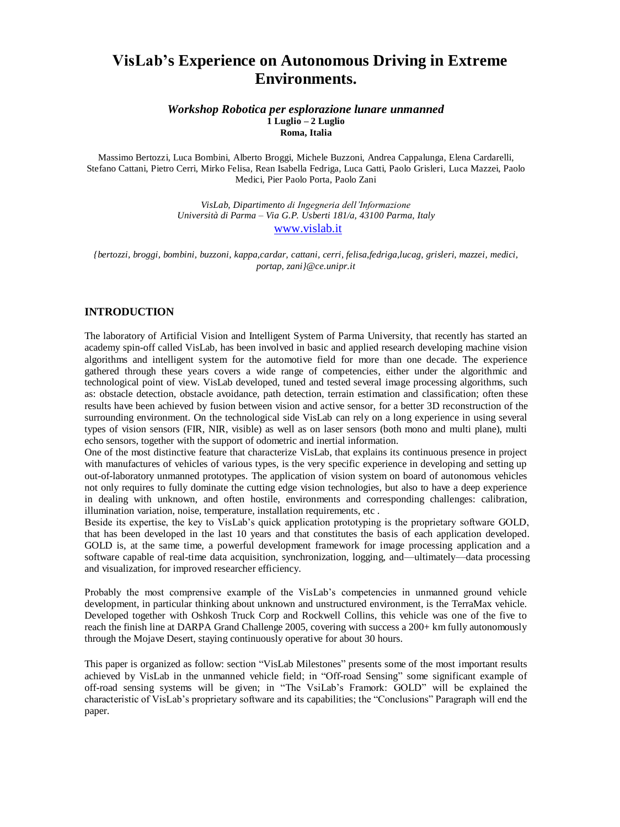# **VisLab's Experience on Autonomous Driving in Extreme Environments.**

*Workshop Robotica per esplorazione lunare unmanned* **1 Luglio – 2 Luglio Roma, Italia** 

Massimo Bertozzi, Luca Bombini, Alberto Broggi, Michele Buzzoni, Andrea Cappalunga, Elena Cardarelli, Stefano Cattani, Pietro Cerri, Mirko Felisa, Rean Isabella Fedriga, Luca Gatti, Paolo Grisleri, Luca Mazzei, Paolo Medici, Pier Paolo Porta, Paolo Zani

> *VisLab, Dipartimento di Ingegneria dell'Informazione Università di Parma – Via G.P. Usberti 181/a, 43100 Parma, Italy* [www.vislab.it](http://www.vislab.it/)

*{bertozzi, broggi, bombini, buzzoni, kappa,cardar, cattani, cerri, felisa,fedriga,lucag, grisleri, mazzei, medici, portap, zani}@ce.unipr.it*

## **INTRODUCTION**

The laboratory of Artificial Vision and Intelligent System of Parma University, that recently has started an academy spin-off called VisLab, has been involved in basic and applied research developing machine vision algorithms and intelligent system for the automotive field for more than one decade. The experience gathered through these years covers a wide range of competencies, either under the algorithmic and technological point of view. VisLab developed, tuned and tested several image processing algorithms, such as: obstacle detection, obstacle avoidance, path detection, terrain estimation and classification; often these results have been achieved by fusion between vision and active sensor, for a better 3D reconstruction of the surrounding environment. On the technological side VisLab can rely on a long experience in using several types of vision sensors (FIR, NIR, visible) as well as on laser sensors (both mono and multi plane), multi echo sensors, together with the support of odometric and inertial information.

One of the most distinctive feature that characterize VisLab, that explains its continuous presence in project with manufactures of vehicles of various types, is the very specific experience in developing and setting up out-of-laboratory unmanned prototypes. The application of vision system on board of autonomous vehicles not only requires to fully dominate the cutting edge vision technologies, but also to have a deep experience in dealing with unknown, and often hostile, environments and corresponding challenges: calibration, illumination variation, noise, temperature, installation requirements, etc .

Beside its expertise, the key to VisLab's quick application prototyping is the proprietary software GOLD, that has been developed in the last 10 years and that constitutes the basis of each application developed. GOLD is, at the same time, a powerful development framework for image processing application and a software capable of real-time data acquisition, synchronization, logging, and—ultimately—data processing and visualization, for improved researcher efficiency.

Probably the most comprensive example of the VisLab's competencies in unmanned ground vehicle development, in particular thinking about unknown and unstructured environment, is the TerraMax vehicle. Developed together with Oshkosh Truck Corp and Rockwell Collins, this vehicle was one of the five to reach the finish line at DARPA Grand Challenge 2005, covering with success a 200+ km fully autonomously through the Mojave Desert, staying continuously operative for about 30 hours.

This paper is organized as follow: section "VisLab Milestones" presents some of the most important results achieved by VisLab in the unmanned vehicle field; in "Off-road Sensing" some significant example of off-road sensing systems will be given; in "The VsiLab's Framork: GOLD" will be explained the characteristic of VisLab's proprietary software and its capabilities; the "Conclusions" Paragraph will end the paper.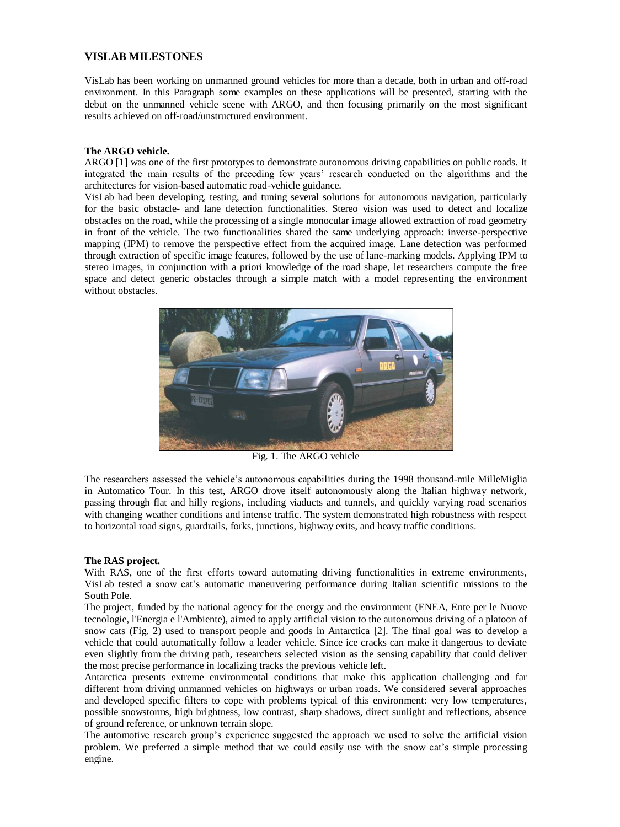# **VISLAB MILESTONES**

VisLab has been working on unmanned ground vehicles for more than a decade, both in urban and off-road environment. In this Paragraph some examples on these applications will be presented, starting with the debut on the unmanned vehicle scene with ARGO, and then focusing primarily on the most significant results achieved on off-road/unstructured environment.

# **The ARGO vehicle.**

ARGO [1] was one of the first prototypes to demonstrate autonomous driving capabilities on public roads. It integrated the main results of the preceding few years' research conducted on the algorithms and the architectures for vision-based automatic road-vehicle guidance.

VisLab had been developing, testing, and tuning several solutions for autonomous navigation, particularly for the basic obstacle- and lane detection functionalities. Stereo vision was used to detect and localize obstacles on the road, while the processing of a single monocular image allowed extraction of road geometry in front of the vehicle. The two functionalities shared the same underlying approach: inverse-perspective mapping (IPM) to remove the perspective effect from the acquired image. Lane detection was performed through extraction of specific image features, followed by the use of lane-marking models. Applying IPM to stereo images, in conjunction with a priori knowledge of the road shape, let researchers compute the free space and detect generic obstacles through a simple match with a model representing the environment without obstacles.



Fig. 1. The ARGO vehicle

The researchers assessed the vehicle's autonomous capabilities during the 1998 thousand-mile MilleMiglia in Automatico Tour. In this test, ARGO drove itself autonomously along the Italian highway network, passing through flat and hilly regions, including viaducts and tunnels, and quickly varying road scenarios with changing weather conditions and intense traffic. The system demonstrated high robustness with respect to horizontal road signs, guardrails, forks, junctions, highway exits, and heavy traffic conditions.

## **The RAS project.**

With RAS, one of the first efforts toward automating driving functionalities in extreme environments, VisLab tested a snow cat's automatic maneuvering performance during Italian scientific missions to the South Pole.

The project, funded by the national agency for the energy and the environment (ENEA, Ente per le Nuove tecnologie, l'Energia e l'Ambiente), aimed to apply artificial vision to the autonomous driving of a platoon of snow cats (Fig. 2) used to transport people and goods in Antarctica [2]. The final goal was to develop a vehicle that could automatically follow a leader vehicle. Since ice cracks can make it dangerous to deviate even slightly from the driving path, researchers selected vision as the sensing capability that could deliver the most precise performance in localizing tracks the previous vehicle left.

Antarctica presents extreme environmental conditions that make this application challenging and far different from driving unmanned vehicles on highways or urban roads. We considered several approaches and developed specific filters to cope with problems typical of this environment: very low temperatures, possible snowstorms, high brightness, low contrast, sharp shadows, direct sunlight and reflections, absence of ground reference, or unknown terrain slope.

The automotive research group's experience suggested the approach we used to solve the artificial vision problem. We preferred a simple method that we could easily use with the snow cat's simple processing engine.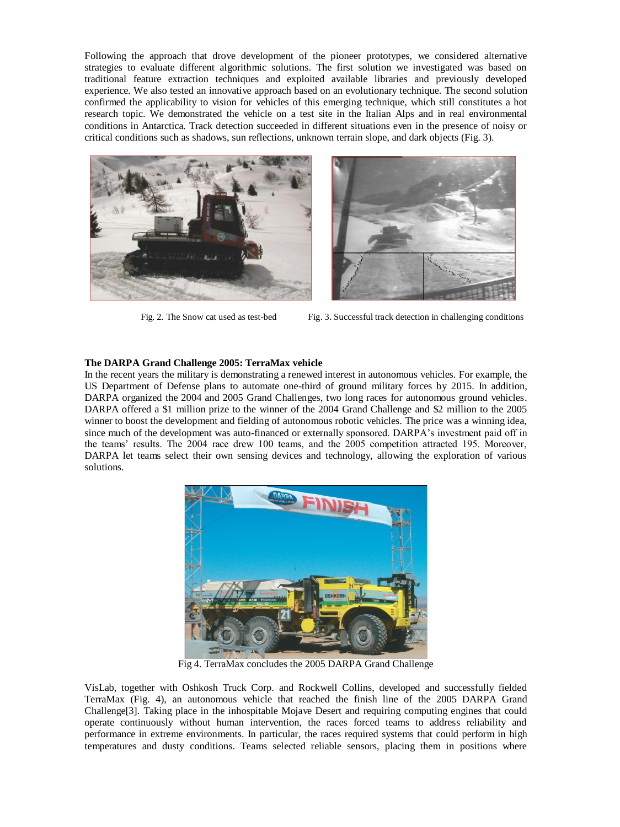Following the approach that drove development of the pioneer prototypes, we considered alternative strategies to evaluate different algorithmic solutions. The first solution we investigated was based on traditional feature extraction techniques and exploited available libraries and previously developed experience. We also tested an innovative approach based on an evolutionary technique. The second solution confirmed the applicability to vision for vehicles of this emerging technique, which still constitutes a hot research topic. We demonstrated the vehicle on a test site in the Italian Alps and in real environmental conditions in Antarctica. Track detection succeeded in different situations even in the presence of noisy or critical conditions such as shadows, sun reflections, unknown terrain slope, and dark objects (Fig. 3).





Fig. 2. The Snow cat used as test-bed Fig. 3. Successful track detection in challenging conditions

# **The DARPA Grand Challenge 2005: TerraMax vehicle**

In the recent years the military is demonstrating a renewed interest in autonomous vehicles. For example, the US Department of Defense plans to automate one-third of ground military forces by 2015. In addition, DARPA organized the 2004 and 2005 Grand Challenges, two long races for autonomous ground vehicles. DARPA offered a \$1 million prize to the winner of the 2004 Grand Challenge and \$2 million to the 2005 winner to boost the development and fielding of autonomous robotic vehicles. The price was a winning idea, since much of the development was auto-financed or externally sponsored. DARPA's investment paid off in the teams' results. The 2004 race drew 100 teams, and the 2005 competition attracted 195. Moreover, DARPA let teams select their own sensing devices and technology, allowing the exploration of various solutions.



Fig 4. TerraMax concludes the 2005 DARPA Grand Challenge

VisLab, together with Oshkosh Truck Corp. and Rockwell Collins, developed and successfully fielded TerraMax (Fig. 4), an autonomous vehicle that reached the finish line of the 2005 DARPA Grand Challenge[3]. Taking place in the inhospitable Mojave Desert and requiring computing engines that could operate continuously without human intervention, the races forced teams to address reliability and performance in extreme environments. In particular, the races required systems that could perform in high temperatures and dusty conditions. Teams selected reliable sensors, placing them in positions where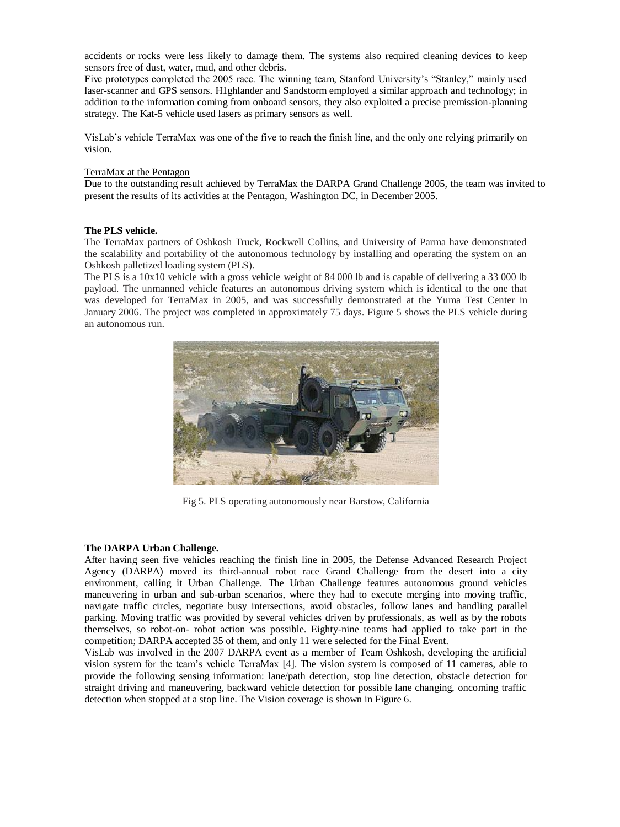accidents or rocks were less likely to damage them. The systems also required cleaning devices to keep sensors free of dust, water, mud, and other debris.

Five prototypes completed the 2005 race. The winning team, Stanford University's "Stanley," mainly used laser-scanner and GPS sensors. H1ghlander and Sandstorm employed a similar approach and technology; in addition to the information coming from onboard sensors, they also exploited a precise premission-planning strategy. The Kat-5 vehicle used lasers as primary sensors as well.

VisLab's vehicle TerraMax was one of the five to reach the finish line, and the only one relying primarily on vision.

## TerraMax at the Pentagon

Due to the outstanding result achieved by TerraMax the DARPA Grand Challenge 2005, the team was invited to present the results of its activities at the Pentagon, Washington DC, in December 2005.

## **The PLS vehicle.**

The TerraMax partners of Oshkosh Truck, Rockwell Collins, and University of Parma have demonstrated the scalability and portability of the autonomous technology by installing and operating the system on an Oshkosh palletized loading system (PLS).

The PLS is a 10x10 vehicle with a gross vehicle weight of 84 000 lb and is capable of delivering a 33 000 lb payload. The unmanned vehicle features an autonomous driving system which is identical to the one that was developed for TerraMax in 2005, and was successfully demonstrated at the Yuma Test Center in January 2006. The project was completed in approximately 75 days. Figure 5 shows the PLS vehicle during an autonomous run.



Fig 5. PLS operating autonomously near Barstow, California

#### **The DARPA Urban Challenge.**

After having seen five vehicles reaching the finish line in 2005, the Defense Advanced Research Project Agency (DARPA) moved its third-annual robot race Grand Challenge from the desert into a city environment, calling it Urban Challenge. The Urban Challenge features autonomous ground vehicles maneuvering in urban and sub-urban scenarios, where they had to execute merging into moving traffic, navigate traffic circles, negotiate busy intersections, avoid obstacles, follow lanes and handling parallel parking. Moving traffic was provided by several vehicles driven by professionals, as well as by the robots themselves, so robot-on- robot action was possible. Eighty-nine teams had applied to take part in the competition; DARPA accepted 35 of them, and only 11 were selected for the Final Event.

VisLab was involved in the 2007 DARPA event as a member of Team Oshkosh, developing the artificial vision system for the team's vehicle TerraMax [4]. The vision system is composed of 11 cameras, able to provide the following sensing information: lane/path detection, stop line detection, obstacle detection for straight driving and maneuvering, backward vehicle detection for possible lane changing, oncoming traffic detection when stopped at a stop line. The Vision coverage is shown in Figure 6.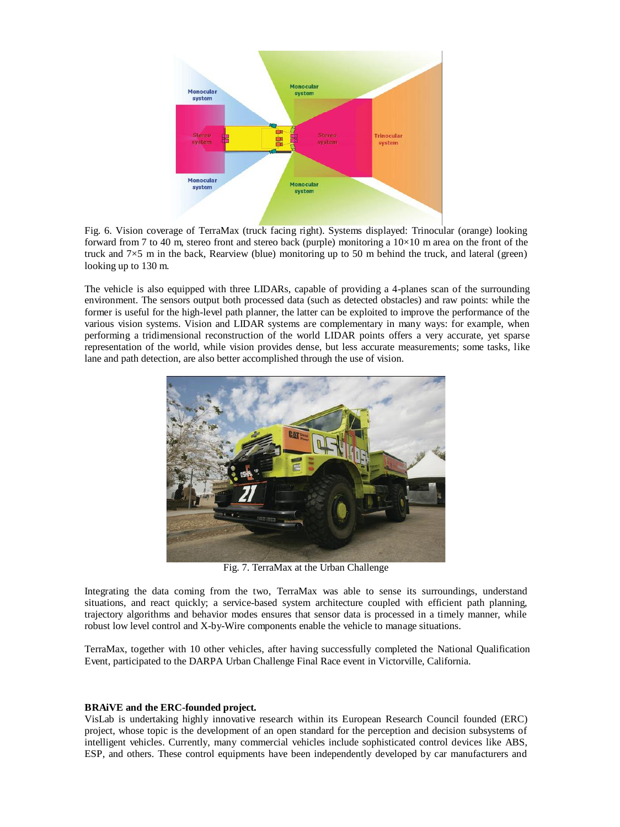

Fig. 6. Vision coverage of TerraMax (truck facing right). Systems displayed: Trinocular (orange) looking forward from 7 to 40 m, stereo front and stereo back (purple) monitoring a  $10\times10$  m area on the front of the truck and  $7\times5$  m in the back, Rearview (blue) monitoring up to 50 m behind the truck, and lateral (green) looking up to 130 m.

The vehicle is also equipped with three LIDARs, capable of providing a 4-planes scan of the surrounding environment. The sensors output both processed data (such as detected obstacles) and raw points: while the former is useful for the high-level path planner, the latter can be exploited to improve the performance of the various vision systems. Vision and LIDAR systems are complementary in many ways: for example, when performing a tridimensional reconstruction of the world LIDAR points offers a very accurate, yet sparse representation of the world, while vision provides dense, but less accurate measurements; some tasks, like lane and path detection, are also better accomplished through the use of vision.



Fig. 7. TerraMax at the Urban Challenge

Integrating the data coming from the two, TerraMax was able to sense its surroundings, understand situations, and react quickly; a service-based system architecture coupled with efficient path planning, trajectory algorithms and behavior modes ensures that sensor data is processed in a timely manner, while robust low level control and X-by-Wire components enable the vehicle to manage situations.

TerraMax, together with 10 other vehicles, after having successfully completed the National Qualification Event, participated to the DARPA Urban Challenge Final Race event in Victorville, California.

## **BRAiVE and the ERC-founded project.**

VisLab is undertaking highly innovative research within its European Research Council founded (ERC) project, whose topic is the development of an open standard for the perception and decision subsystems of intelligent vehicles. Currently, many commercial vehicles include sophisticated control devices like ABS, ESP, and others. These control equipments have been independently developed by car manufacturers and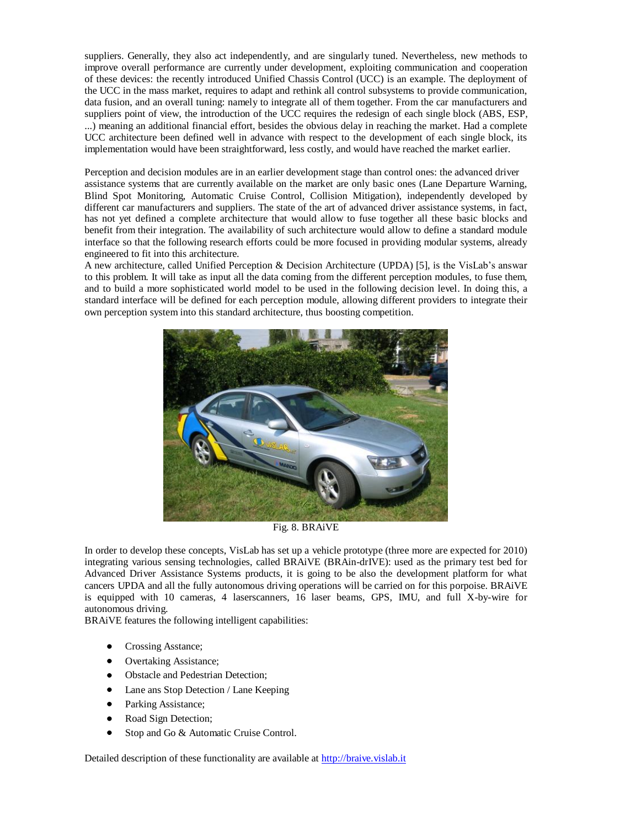suppliers. Generally, they also act independently, and are singularly tuned. Nevertheless, new methods to improve overall performance are currently under development, exploiting communication and cooperation of these devices: the recently introduced Unified Chassis Control (UCC) is an example. The deployment of the UCC in the mass market, requires to adapt and rethink all control subsystems to provide communication, data fusion, and an overall tuning: namely to integrate all of them together. From the car manufacturers and suppliers point of view, the introduction of the UCC requires the redesign of each single block (ABS, ESP, ...) meaning an additional financial effort, besides the obvious delay in reaching the market. Had a complete UCC architecture been defined well in advance with respect to the development of each single block, its implementation would have been straightforward, less costly, and would have reached the market earlier.

Perception and decision modules are in an earlier development stage than control ones: the advanced driver assistance systems that are currently available on the market are only basic ones (Lane Departure Warning, Blind Spot Monitoring, Automatic Cruise Control, Collision Mitigation), independently developed by different car manufacturers and suppliers. The state of the art of advanced driver assistance systems, in fact, has not yet defined a complete architecture that would allow to fuse together all these basic blocks and benefit from their integration. The availability of such architecture would allow to define a standard module interface so that the following research efforts could be more focused in providing modular systems, already engineered to fit into this architecture.

A new architecture, called Unified Perception & Decision Architecture (UPDA) [5], is the VisLab's answar to this problem. It will take as input all the data coming from the different perception modules, to fuse them, and to build a more sophisticated world model to be used in the following decision level. In doing this, a standard interface will be defined for each perception module, allowing different providers to integrate their own perception system into this standard architecture, thus boosting competition.



Fig. 8. BRAiVE

In order to develop these concepts, VisLab has set up a vehicle prototype (three more are expected for 2010) integrating various sensing technologies, called BRAiVE (BRAin-drIVE): used as the primary test bed for Advanced Driver Assistance Systems products, it is going to be also the development platform for what cancers UPDA and all the fully autonomous driving operations will be carried on for this porpoise. BRAiVE is equipped with 10 cameras, 4 laserscanners, 16 laser beams, GPS, IMU, and full X-by-wire for autonomous driving.

BRAiVE features the following intelligent capabilities:

- Crossing Asstance;
- $\bullet$ Overtaking Assistance;
- Obstacle and Pedestrian Detection;
- Lane ans Stop Detection / Lane Keeping
- $\bullet$ Parking Assistance;
- $\bullet$ Road Sign Detection;
- Stop and Go & Automatic Cruise Control.  $\bullet$

Detailed description of these functionality are available at [http://braive.vislab.it](http://braive.vislab.it/)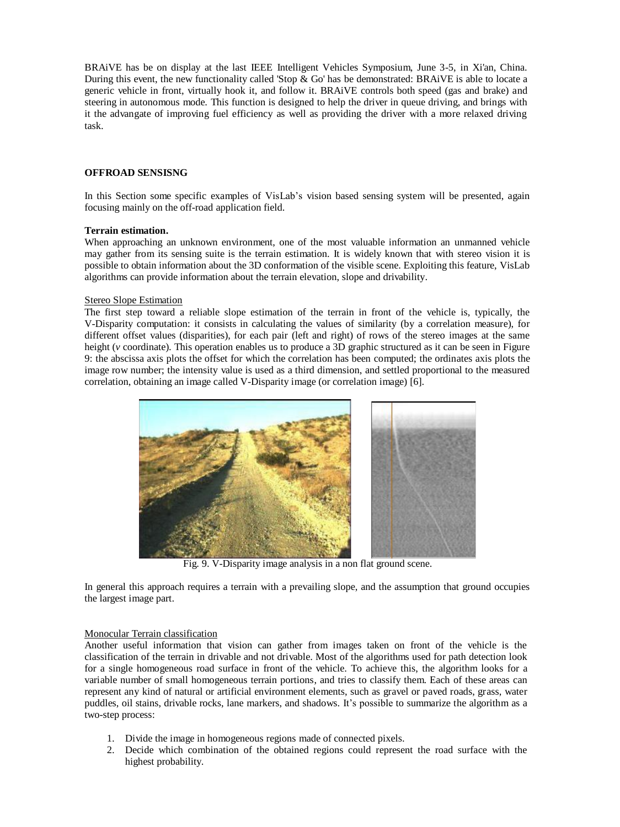BRAiVE has be on display at the last IEEE Intelligent Vehicles Symposium, June 3-5, in Xi'an, China. During this event, the new functionality called 'Stop & Go' has be demonstrated: BRAiVE is able to locate a generic vehicle in front, virtually hook it, and follow it. BRAiVE controls both speed (gas and brake) and steering in autonomous mode. This function is designed to help the driver in queue driving, and brings with it the advangate of improving fuel efficiency as well as providing the driver with a more relaxed driving task.

## **OFFROAD SENSISNG**

In this Section some specific examples of VisLab's vision based sensing system will be presented, again focusing mainly on the off-road application field.

## **Terrain estimation.**

When approaching an unknown environment, one of the most valuable information an unmanned vehicle may gather from its sensing suite is the terrain estimation. It is widely known that with stereo vision it is possible to obtain information about the 3D conformation of the visible scene. Exploiting this feature, VisLab algorithms can provide information about the terrain elevation, slope and drivability.

#### Stereo Slope Estimation

The first step toward a reliable slope estimation of the terrain in front of the vehicle is, typically, the V-Disparity computation: it consists in calculating the values of similarity (by a correlation measure), for different offset values (disparities), for each pair (left and right) of rows of the stereo images at the same height (*v* coordinate). This operation enables us to produce a 3D graphic structured as it can be seen in Figure 9: the abscissa axis plots the offset for which the correlation has been computed; the ordinates axis plots the image row number; the intensity value is used as a third dimension, and settled proportional to the measured correlation, obtaining an image called V-Disparity image (or correlation image) [6].



Fig. 9. V-Disparity image analysis in a non flat ground scene.

In general this approach requires a terrain with a prevailing slope, and the assumption that ground occupies the largest image part.

#### Monocular Terrain classification

Another useful information that vision can gather from images taken on front of the vehicle is the classification of the terrain in drivable and not drivable. Most of the algorithms used for path detection look for a single homogeneous road surface in front of the vehicle. To achieve this, the algorithm looks for a variable number of small homogeneous terrain portions, and tries to classify them. Each of these areas can represent any kind of natural or artificial environment elements, such as gravel or paved roads, grass, water puddles, oil stains, drivable rocks, lane markers, and shadows. It's possible to summarize the algorithm as a two-step process:

- 1. Divide the image in homogeneous regions made of connected pixels.
- 2. Decide which combination of the obtained regions could represent the road surface with the highest probability.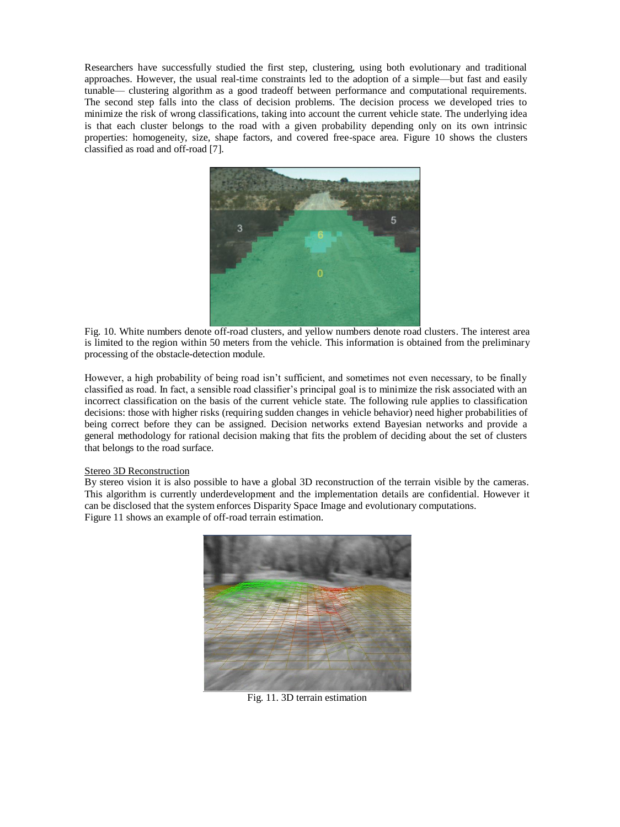Researchers have successfully studied the first step, clustering, using both evolutionary and traditional approaches. However, the usual real-time constraints led to the adoption of a simple—but fast and easily tunable— clustering algorithm as a good tradeoff between performance and computational requirements. The second step falls into the class of decision problems. The decision process we developed tries to minimize the risk of wrong classifications, taking into account the current vehicle state. The underlying idea is that each cluster belongs to the road with a given probability depending only on its own intrinsic properties: homogeneity, size, shape factors, and covered free-space area. Figure 10 shows the clusters classified as road and off-road [7].



Fig. 10. White numbers denote off-road clusters, and yellow numbers denote road clusters. The interest area is limited to the region within 50 meters from the vehicle. This information is obtained from the preliminary processing of the obstacle-detection module.

However, a high probability of being road isn't sufficient, and sometimes not even necessary, to be finally classified as road. In fact, a sensible road classifier's principal goal is to minimize the risk associated with an incorrect classification on the basis of the current vehicle state. The following rule applies to classification decisions: those with higher risks (requiring sudden changes in vehicle behavior) need higher probabilities of being correct before they can be assigned. Decision networks extend Bayesian networks and provide a general methodology for rational decision making that fits the problem of deciding about the set of clusters that belongs to the road surface.

#### Stereo 3D Reconstruction

By stereo vision it is also possible to have a global 3D reconstruction of the terrain visible by the cameras. This algorithm is currently underdevelopment and the implementation details are confidential. However it can be disclosed that the system enforces Disparity Space Image and evolutionary computations. Figure 11 shows an example of off-road terrain estimation.



Fig. 11. 3D terrain estimation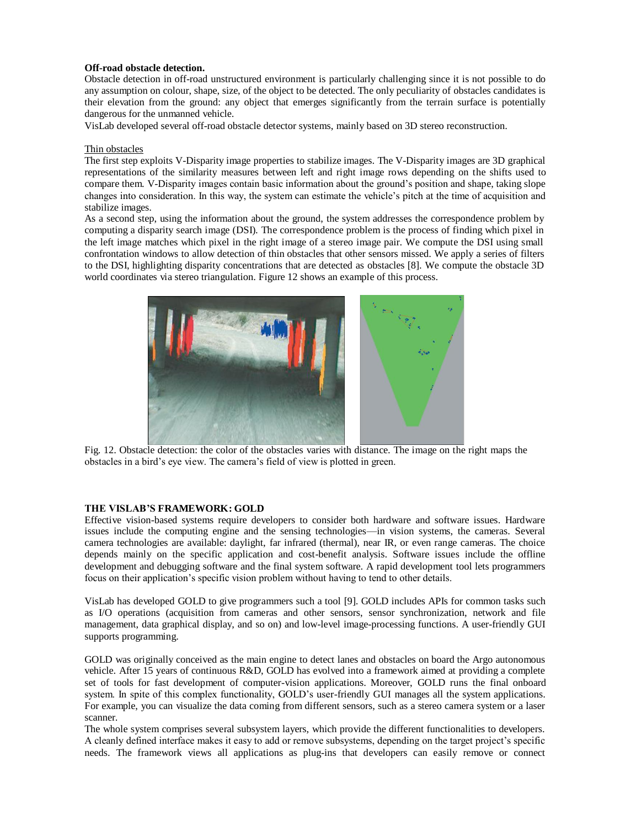## **Off-road obstacle detection.**

Obstacle detection in off-road unstructured environment is particularly challenging since it is not possible to do any assumption on colour, shape, size, of the object to be detected. The only peculiarity of obstacles candidates is their elevation from the ground: any object that emerges significantly from the terrain surface is potentially dangerous for the unmanned vehicle.

VisLab developed several off-road obstacle detector systems, mainly based on 3D stereo reconstruction.

## Thin obstacles

The first step exploits V-Disparity image properties to stabilize images. The V-Disparity images are 3D graphical representations of the similarity measures between left and right image rows depending on the shifts used to compare them. V-Disparity images contain basic information about the ground's position and shape, taking slope changes into consideration. In this way, the system can estimate the vehicle's pitch at the time of acquisition and stabilize images.

As a second step, using the information about the ground, the system addresses the correspondence problem by computing a disparity search image (DSI). The correspondence problem is the process of finding which pixel in the left image matches which pixel in the right image of a stereo image pair. We compute the DSI using small confrontation windows to allow detection of thin obstacles that other sensors missed. We apply a series of filters to the DSI, highlighting disparity concentrations that are detected as obstacles [8]. We compute the obstacle 3D world coordinates via stereo triangulation. Figure 12 shows an example of this process.



Fig. 12. Obstacle detection: the color of the obstacles varies with distance. The image on the right maps the obstacles in a bird's eye view. The camera's field of view is plotted in green.

## **THE VISLAB'S FRAMEWORK: GOLD**

Effective vision-based systems require developers to consider both hardware and software issues. Hardware issues include the computing engine and the sensing technologies—in vision systems, the cameras. Several camera technologies are available: daylight, far infrared (thermal), near IR, or even range cameras. The choice depends mainly on the specific application and cost-benefit analysis. Software issues include the offline development and debugging software and the final system software. A rapid development tool lets programmers focus on their application's specific vision problem without having to tend to other details.

VisLab has developed GOLD to give programmers such a tool [9]. GOLD includes APIs for common tasks such as I/O operations (acquisition from cameras and other sensors, sensor synchronization, network and file management, data graphical display, and so on) and low-level image-processing functions. A user-friendly GUI supports programming.

GOLD was originally conceived as the main engine to detect lanes and obstacles on board the Argo autonomous vehicle. After 15 years of continuous R&D, GOLD has evolved into a framework aimed at providing a complete set of tools for fast development of computer-vision applications. Moreover, GOLD runs the final onboard system. In spite of this complex functionality, GOLD's user-friendly GUI manages all the system applications. For example, you can visualize the data coming from different sensors, such as a stereo camera system or a laser scanner.

The whole system comprises several subsystem layers, which provide the different functionalities to developers. A cleanly defined interface makes it easy to add or remove subsystems, depending on the target project's specific needs. The framework views all applications as plug-ins that developers can easily remove or connect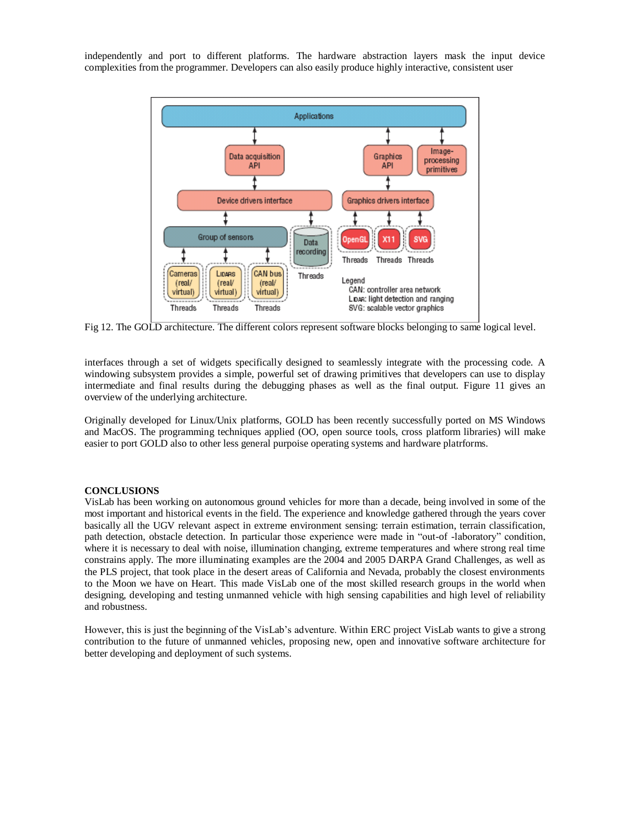independently and port to different platforms. The hardware abstraction layers mask the input device complexities from the programmer. Developers can also easily produce highly interactive, consistent user



Fig 12. The GOLD architecture. The different colors represent software blocks belonging to same logical level.

interfaces through a set of widgets specifically designed to seamlessly integrate with the processing code. A windowing subsystem provides a simple, powerful set of drawing primitives that developers can use to display intermediate and final results during the debugging phases as well as the final output. Figure 11 gives an overview of the underlying architecture.

Originally developed for Linux/Unix platforms, GOLD has been recently successfully ported on MS Windows and MacOS. The programming techniques applied (OO, open source tools, cross platform libraries) will make easier to port GOLD also to other less general purpoise operating systems and hardware platrforms.

#### **CONCLUSIONS**

VisLab has been working on autonomous ground vehicles for more than a decade, being involved in some of the most important and historical events in the field. The experience and knowledge gathered through the years cover basically all the UGV relevant aspect in extreme environment sensing: terrain estimation, terrain classification, path detection, obstacle detection. In particular those experience were made in "out-of -laboratory" condition, where it is necessary to deal with noise, illumination changing, extreme temperatures and where strong real time constrains apply. The more illuminating examples are the 2004 and 2005 DARPA Grand Challenges, as well as the PLS project, that took place in the desert areas of California and Nevada, probably the closest environments to the Moon we have on Heart. This made VisLab one of the most skilled research groups in the world when designing, developing and testing unmanned vehicle with high sensing capabilities and high level of reliability and robustness.

However, this is just the beginning of the VisLab's adventure. Within ERC project VisLab wants to give a strong contribution to the future of unmanned vehicles, proposing new, open and innovative software architecture for better developing and deployment of such systems.